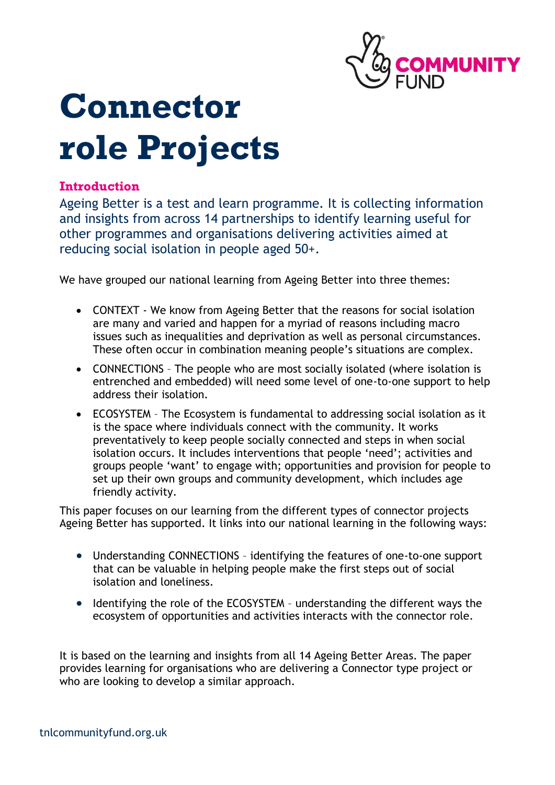

# **Connector role Projects**

#### **Introduction**

Ageing Better is a test and learn programme. It is collecting information and insights from across 14 partnerships to identify learning useful for other programmes and organisations delivering activities aimed at reducing social isolation in people aged 50+.

We have grouped our national learning from Ageing Better into three themes:

- CONTEXT We know from Ageing Better that the reasons for social isolation are many and varied and happen for a myriad of reasons including macro issues such as inequalities and deprivation as well as personal circumstances. These often occur in combination meaning people's situations are complex.
- CONNECTIONS The people who are most socially isolated (where isolation is entrenched and embedded) will need some level of one-to-one support to help address their isolation.
- ECOSYSTEM The Ecosystem is fundamental to addressing social isolation as it is the space where individuals connect with the community. It works preventatively to keep people socially connected and steps in when social isolation occurs. It includes interventions that people 'need'; activities and groups people 'want' to engage with; opportunities and provision for people to set up their own groups and community development, which includes age friendly activity.

This paper focuses on our learning from the different types of connector projects Ageing Better has supported. It links into our national learning in the following ways:

- Understanding CONNECTIONS identifying the features of one-to-one support that can be valuable in helping people make the first steps out of social isolation and loneliness.
- Identifying the role of the ECOSYSTEM understanding the different ways the ecosystem of opportunities and activities interacts with the connector role.

It is based on the learning and insights from all 14 Ageing Better Areas. The paper provides learning for organisations who are delivering a Connector type project or who are looking to develop a similar approach.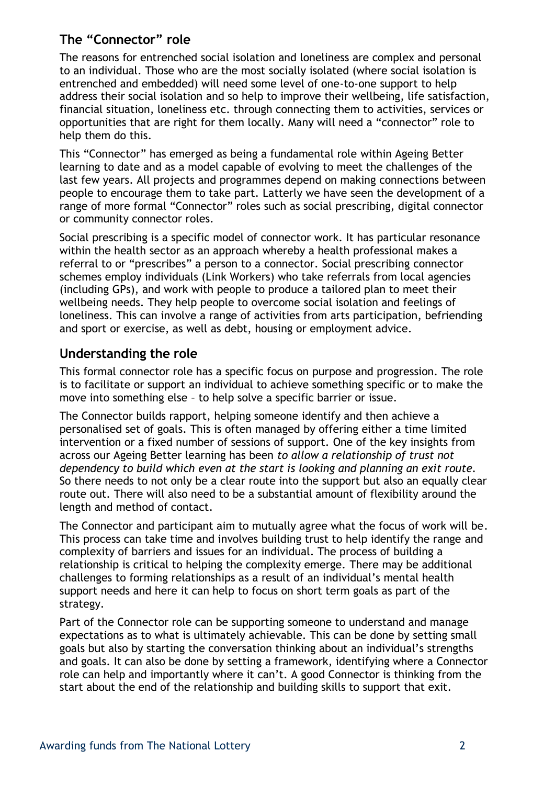# **The "Connector" role**

The reasons for entrenched social isolation and loneliness are complex and personal to an individual. Those who are the most socially isolated (where social isolation is entrenched and embedded) will need some level of one-to-one support to help address their social isolation and so help to improve their wellbeing, life satisfaction, financial situation, loneliness etc. through connecting them to activities, services or opportunities that are right for them locally. Many will need a "connector" role to help them do this.

This "Connector" has emerged as being a fundamental role within Ageing Better learning to date and as a model capable of evolving to meet the challenges of the last few years. All projects and programmes depend on making connections between people to encourage them to take part. Latterly we have seen the development of a range of more formal "Connector" roles such as social prescribing, digital connector or community connector roles.

Social prescribing is a specific model of connector work. It has particular resonance within the health sector as an approach whereby a health professional makes a referral to or "prescribes" a person to a connector. Social prescribing connector schemes employ individuals (Link Workers) who take referrals from local agencies (including GPs), and work with people to produce a tailored plan to meet their wellbeing needs. They help people to overcome social isolation and feelings of loneliness. This can involve a range of activities from arts participation, befriending and sport or exercise, as well as debt, housing or employment advice.

## **Understanding the role**

This formal connector role has a specific focus on purpose and progression. The role is to facilitate or support an individual to achieve something specific or to make the move into something else – to help solve a specific barrier or issue.

The Connector builds rapport, helping someone identify and then achieve a personalised set of goals. This is often managed by offering either a time limited intervention or a fixed number of sessions of support. One of the key insights from across our Ageing Better learning has been *to allow a relationship of trust not dependency to build which even at the start is looking and planning an exit route.*  So there needs to not only be a clear route into the support but also an equally clear route out. There will also need to be a substantial amount of flexibility around the length and method of contact.

The Connector and participant aim to mutually agree what the focus of work will be. This process can take time and involves building trust to help identify the range and complexity of barriers and issues for an individual. The process of building a relationship is critical to helping the complexity emerge. There may be additional challenges to forming relationships as a result of an individual's mental health support needs and here it can help to focus on short term goals as part of the strategy.

Part of the Connector role can be supporting someone to understand and manage expectations as to what is ultimately achievable. This can be done by setting small goals but also by starting the conversation thinking about an individual's strengths and goals. It can also be done by setting a framework, identifying where a Connector role can help and importantly where it can't. A good Connector is thinking from the start about the end of the relationship and building skills to support that exit.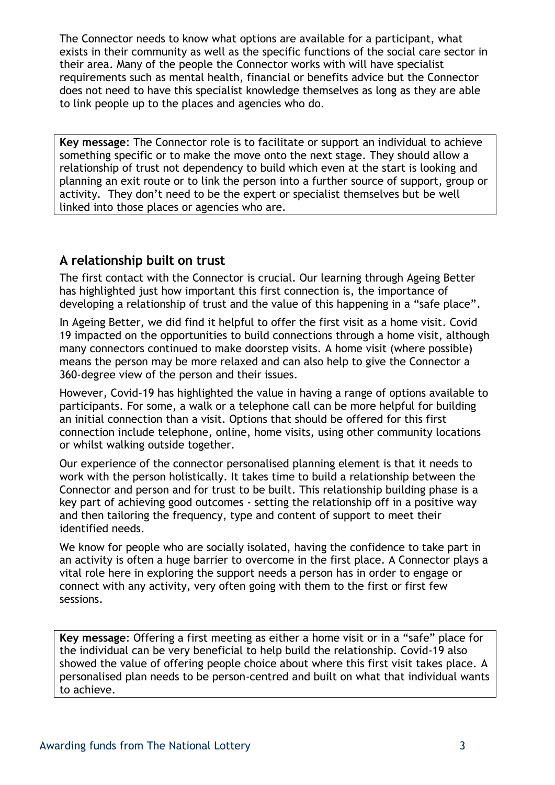The Connector needs to know what options are available for a participant, what exists in their community as well as the specific functions of the social care sector in their area. Many of the people the Connector works with will have specialist requirements such as mental health, financial or benefits advice but the Connector does not need to have this specialist knowledge themselves as long as they are able to link people up to the places and agencies who do.

**Key message**: The Connector role is to facilitate or support an individual to achieve something specific or to make the move onto the next stage. They should allow a relationship of trust not dependency to build which even at the start is looking and planning an exit route or to link the person into a further source of support, group or activity. They don't need to be the expert or specialist themselves but be well linked into those places or agencies who are.

## **A relationship built on trust**

The first contact with the Connector is crucial. Our learning through Ageing Better has highlighted just how important this first connection is, the importance of developing a relationship of trust and the value of this happening in a "safe place".

In Ageing Better, we did find it helpful to offer the first visit as a home visit. Covid 19 impacted on the opportunities to build connections through a home visit, although many connectors continued to make doorstep visits. A home visit (where possible) means the person may be more relaxed and can also help to give the Connector a 360-degree view of the person and their issues.

However, Covid-19 has highlighted the value in having a range of options available to participants. For some, a walk or a telephone call can be more helpful for building an initial connection than a visit. Options that should be offered for this first connection include telephone, online, home visits, using other community locations or whilst walking outside together.

Our experience of the connector personalised planning element is that it needs to work with the person holistically. It takes time to build a relationship between the Connector and person and for trust to be built. This relationship building phase is a key part of achieving good outcomes - setting the relationship off in a positive way and then tailoring the frequency, type and content of support to meet their identified needs.

We know for people who are socially isolated, having the confidence to take part in an activity is often a huge barrier to overcome in the first place. A Connector plays a vital role here in exploring the support needs a person has in order to engage or connect with any activity, very often going with them to the first or first few sessions.

**Key message**: Offering a first meeting as either a home visit or in a "safe" place for the individual can be very beneficial to help build the relationship. Covid-19 also showed the value of offering people choice about where this first visit takes place. A personalised plan needs to be person-centred and built on what that individual wants to achieve.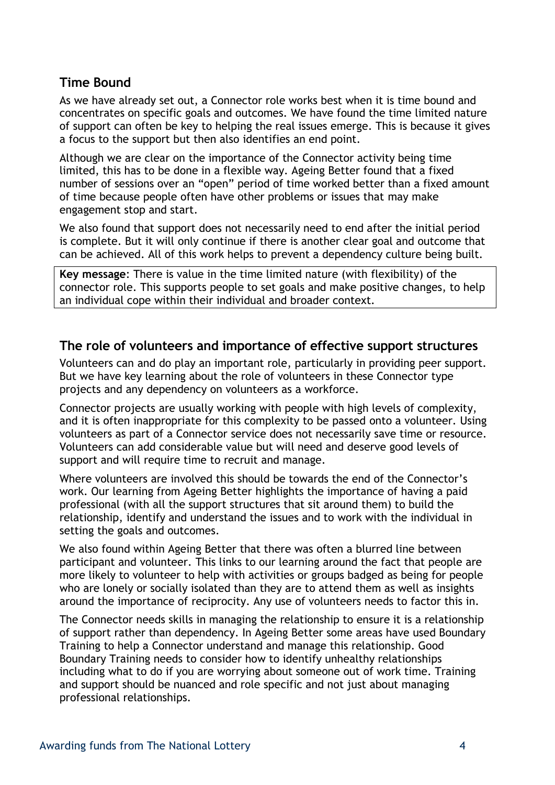#### **Time Bound**

As we have already set out, a Connector role works best when it is time bound and concentrates on specific goals and outcomes. We have found the time limited nature of support can often be key to helping the real issues emerge. This is because it gives a focus to the support but then also identifies an end point.

Although we are clear on the importance of the Connector activity being time limited, this has to be done in a flexible way. Ageing Better found that a fixed number of sessions over an "open" period of time worked better than a fixed amount of time because people often have other problems or issues that may make engagement stop and start.

We also found that support does not necessarily need to end after the initial period is complete. But it will only continue if there is another clear goal and outcome that can be achieved. All of this work helps to prevent a dependency culture being built.

**Key message**: There is value in the time limited nature (with flexibility) of the connector role. This supports people to set goals and make positive changes, to help an individual cope within their individual and broader context.

#### **The role of volunteers and importance of effective support structures**

Volunteers can and do play an important role, particularly in providing peer support. But we have key learning about the role of volunteers in these Connector type projects and any dependency on volunteers as a workforce.

Connector projects are usually working with people with high levels of complexity, and it is often inappropriate for this complexity to be passed onto a volunteer. Using volunteers as part of a Connector service does not necessarily save time or resource. Volunteers can add considerable value but will need and deserve good levels of support and will require time to recruit and manage.

Where volunteers are involved this should be towards the end of the Connector's work. Our learning from Ageing Better highlights the importance of having a paid professional (with all the support structures that sit around them) to build the relationship, identify and understand the issues and to work with the individual in setting the goals and outcomes.

We also found within Ageing Better that there was often a blurred line between participant and volunteer. This links to our learning around the fact that people are more likely to volunteer to help with activities or groups badged as being for people who are lonely or socially isolated than they are to attend them as well as insights around the importance of reciprocity. Any use of volunteers needs to factor this in.

The Connector needs skills in managing the relationship to ensure it is a relationship of support rather than dependency. In Ageing Better some areas have used Boundary Training to help a Connector understand and manage this relationship. Good Boundary Training needs to consider how to identify unhealthy relationships including what to do if you are worrying about someone out of work time. Training and support should be nuanced and role specific and not just about managing professional relationships.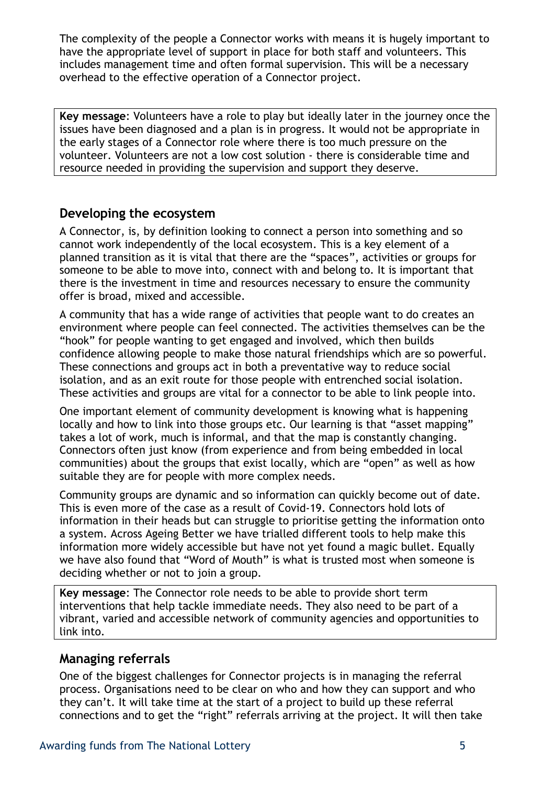The complexity of the people a Connector works with means it is hugely important to have the appropriate level of support in place for both staff and volunteers. This includes management time and often formal supervision. This will be a necessary overhead to the effective operation of a Connector project.

**Key message**: Volunteers have a role to play but ideally later in the journey once the issues have been diagnosed and a plan is in progress. It would not be appropriate in the early stages of a Connector role where there is too much pressure on the volunteer. Volunteers are not a low cost solution - there is considerable time and resource needed in providing the supervision and support they deserve.

#### **Developing the ecosystem**

A Connector, is, by definition looking to connect a person into something and so cannot work independently of the local ecosystem. This is a key element of a planned transition as it is vital that there are the "spaces", activities or groups for someone to be able to move into, connect with and belong to. It is important that there is the investment in time and resources necessary to ensure the community offer is broad, mixed and accessible.

A community that has a wide range of activities that people want to do creates an environment where people can feel connected. The activities themselves can be the "hook" for people wanting to get engaged and involved, which then builds confidence allowing people to make those natural friendships which are so powerful. These connections and groups act in both a preventative way to reduce social isolation, and as an exit route for those people with entrenched social isolation. These activities and groups are vital for a connector to be able to link people into.

One important element of community development is knowing what is happening locally and how to link into those groups etc. Our learning is that "asset mapping" takes a lot of work, much is informal, and that the map is constantly changing. Connectors often just know (from experience and from being embedded in local communities) about the groups that exist locally, which are "open" as well as how suitable they are for people with more complex needs.

Community groups are dynamic and so information can quickly become out of date. This is even more of the case as a result of Covid-19. Connectors hold lots of information in their heads but can struggle to prioritise getting the information onto a system. Across Ageing Better we have trialled different tools to help make this information more widely accessible but have not yet found a magic bullet. Equally we have also found that "Word of Mouth" is what is trusted most when someone is deciding whether or not to join a group.

**Key message**: The Connector role needs to be able to provide short term interventions that help tackle immediate needs. They also need to be part of a vibrant, varied and accessible network of community agencies and opportunities to link into.

#### **Managing referrals**

One of the biggest challenges for Connector projects is in managing the referral process. Organisations need to be clear on who and how they can support and who they can't. It will take time at the start of a project to build up these referral connections and to get the "right" referrals arriving at the project. It will then take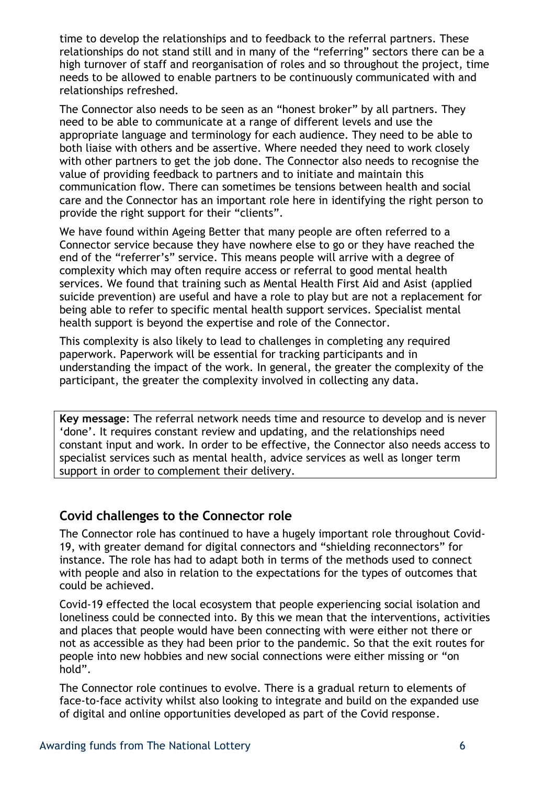time to develop the relationships and to feedback to the referral partners. These relationships do not stand still and in many of the "referring" sectors there can be a high turnover of staff and reorganisation of roles and so throughout the project, time needs to be allowed to enable partners to be continuously communicated with and relationships refreshed.

The Connector also needs to be seen as an "honest broker" by all partners. They need to be able to communicate at a range of different levels and use the appropriate language and terminology for each audience. They need to be able to both liaise with others and be assertive. Where needed they need to work closely with other partners to get the job done. The Connector also needs to recognise the value of providing feedback to partners and to initiate and maintain this communication flow. There can sometimes be tensions between health and social care and the Connector has an important role here in identifying the right person to provide the right support for their "clients".

We have found within Ageing Better that many people are often referred to a Connector service because they have nowhere else to go or they have reached the end of the "referrer's" service. This means people will arrive with a degree of complexity which may often require access or referral to good mental health services. We found that training such as Mental Health First Aid and Asist (applied suicide prevention) are useful and have a role to play but are not a replacement for being able to refer to specific mental health support services. Specialist mental health support is beyond the expertise and role of the Connector.

This complexity is also likely to lead to challenges in completing any required paperwork. Paperwork will be essential for tracking participants and in understanding the impact of the work. In general, the greater the complexity of the participant, the greater the complexity involved in collecting any data.

**Key message**: The referral network needs time and resource to develop and is never 'done'. It requires constant review and updating, and the relationships need constant input and work. In order to be effective, the Connector also needs access to specialist services such as mental health, advice services as well as longer term support in order to complement their delivery.

#### **Covid challenges to the Connector role**

The Connector role has continued to have a hugely important role throughout Covid-19, with greater demand for digital connectors and "shielding reconnectors" for instance. The role has had to adapt both in terms of the methods used to connect with people and also in relation to the expectations for the types of outcomes that could be achieved.

Covid-19 effected the local ecosystem that people experiencing social isolation and loneliness could be connected into. By this we mean that the interventions, activities and places that people would have been connecting with were either not there or not as accessible as they had been prior to the pandemic. So that the exit routes for people into new hobbies and new social connections were either missing or "on hold".

The Connector role continues to evolve. There is a gradual return to elements of face-to-face activity whilst also looking to integrate and build on the expanded use of digital and online opportunities developed as part of the Covid response.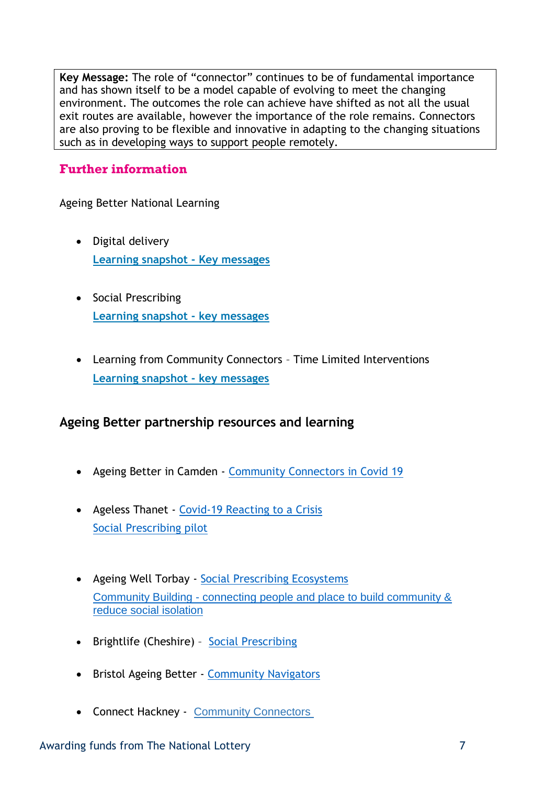**Key Message:** The role of "connector" continues to be of fundamental importance and has shown itself to be a model capable of evolving to meet the changing environment. The outcomes the role can achieve have shifted as not all the usual exit routes are available, however the importance of the role remains. Connectors are also proving to be flexible and innovative in adapting to the changing situations such as in developing ways to support people remotely.

# **Further information**

Ageing Better National Learning

- Digital delivery **[Learning snapshot -](https://www.tnlcommunityfund.org.uk/media/documents/ageing-better/Ageing-Better-Positives-of-Digital-Connection-learning-snapshot.pdf?mtime=20210407115010&focal=none) Key messages**
- Social Prescribing **[Learning snapshot -](https://www.tnlcommunityfund.org.uk/media/documents/ageing-better/Ageing-Better-Social-Prescribing-health-referrals-learning-snapshot.pdf?mtime=20210127160911&focal=none) key messages**
- Learning from Community Connectors Time Limited Interventions **[Learning snapshot -](https://www.tnlcommunityfund.org.uk/media/documents/ageing-better/Ageing-Better-Community-Connectors-Time-Limited-Interventions-learning-snapshot.pdf?mtime=20210127122301&focal=none) key messages**

# **Ageing Better partnership resources and learning**

- Ageing Better in Camden [Community Connectors in Covid 19](https://static1.squarespace.com/static/568a6b7425981d3d913a52c1/t/61431c728b2ce51b22e2cd3e/1631788148648/Community+Connectors+in+Covid-19.pdf)
- Ageless Thanet [Covid-19 Reacting to a Crisis](https://sekgroup.org.uk/wp-content/uploads/2020/07/Covid-19-Report_standard.pdf) [Social Prescribing pilot](https://drive.google.com/file/d/1ZiGg7hCpRCD7I2BEbIXLflCs6r6KKcd5/view)
- Ageing Well Torbay [Social Prescribing Ecosystems](https://ageingwelltorbay.com/wp-content/uploads/2020/11/Social-Prescribing-Ecosystems-FINAL-1.pdf) Community Building - [connecting people and place to build community &](https://ageingwelltorbay.files.wordpress.com/2020/03/community-building-summary-pdf-1-10th-march-update.pdf)  [reduce social isolation](https://ageingwelltorbay.files.wordpress.com/2020/03/community-building-summary-pdf-1-10th-march-update.pdf)
- Brightlife (Cheshire) [Social Prescribing](http://www.brightlifecheshire.org.uk/social-prescribing/)
- Bristol Ageing Better [Community Navigators](https://bristolageingbetter.org.uk/userfiles/files/Community%20Navigators%20Report2020%20for%20SCREEN.pdf)
- Connect Hackney [Community Connectors](https://connecthackney.us20.list-manage.com/track/click?u=8929c0e8c77b3089449c00189&id=9ae92d53d6&e=56b7fdc69f)

#### Awarding funds from The National Lottery **7** and 1992 and 1993 and 1993 and 1998 and 1998 and 1998 and 1998 and 1998 and 1998 and 1998 and 1998 and 1998 and 1998 and 1998 and 1998 and 1999 and 1999 and 1999 and 1999 and 19